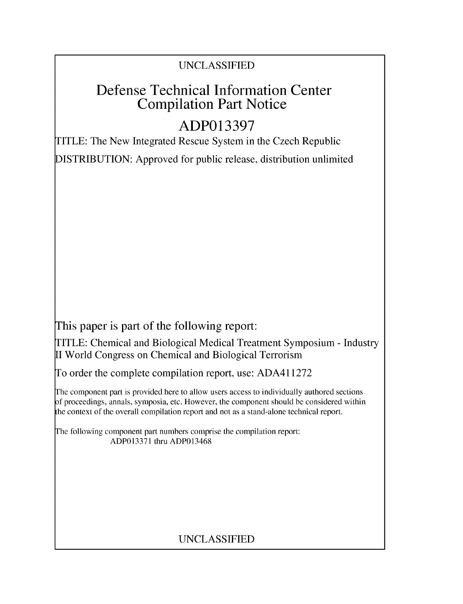## UNCLASSIFIED

# Defense Technical Information Center Compilation Part Notice

# **ADP013397**

TITLE: The New Integrated Rescue System in the Czech Republic

DISTRIBUTION: Approved for public release, distribution unlimited

This paper is part of the following report:

TITLE: Chemical and Biological Medical Treatment Symposium - Industry II World Congress on Chemical and Biological Terrorism

To order the complete compilation report, use: ADA411272

The component part is provided here to allow users access to individually authored sections f proceedings, annals, symposia, etc. However, the component should be considered within the context of the overall compilation report and not as a stand-alone technical report.

The following component part numbers comprise the compilation report: ADP013371 thru ADP013468

# UNCLASSIFIED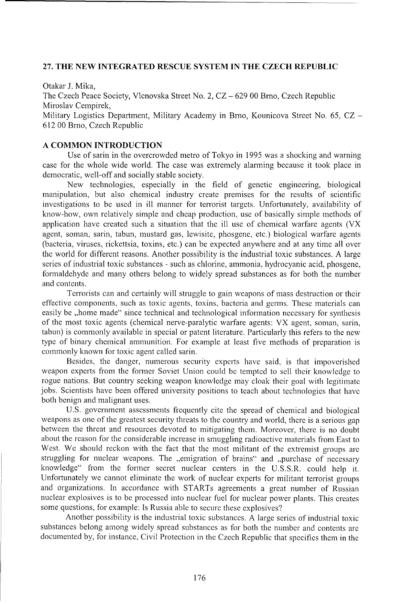### 27. THE **NEW INTEGRATED RESCUE** SYSTEM **IN** THE **CZECH** REPUBLIC

Otakar J. Mika,

The Czech Peace Society, Vlcnovska Street No. 2, CZ - 629 00 Brno, Czech Republic Miroslav Cempirek,

Military Logistics Department, Military Academy in Brno, Kounicova Street No. 65, CZ -612 00 Brno, Czech Republic

### A **COMMON INTRODUCTION**

Use of sarin in the overcrowded metro of Tokyo in 1995 was a shocking and warning case for the whole wide world. The case was extremely alanning because it took place in democratic, well-off and socially stable society.

New technologies, especially in the field of genetic engineering, biological manipulation, but also chemical industry create premises for the results of scientific investigations to be used in ill manner for terrorist targets. Unfortunately, availability of know-how, own relatively simple and cheap production, use of basically simple methods of application have created such a situation that the ill use of chemical warfare agents (VX agent, soman, sarin, tabun, mustard gas, lewisite, phosgene, etc.) biological warfare agents (bacteria, viruses, rickettsia, toxins, etc.) can be expected anywhere and at any time all over the world for different reasons. Another possibility is the industrial toxic substances. A large series of industrial toxic substances - such as chlorine, ammonia, hydrocyanic acid, phosgene, formaldehyde and many others belong to widely spread substances as for both the number and contents.

Terrorists can and certainly will struggle to gain weapons of mass destruction or their effective components, such as toxic agents, toxins, bacteria and germs. These materials can easily be ,,home made" since technical and technological information necessary for synthesis of the most toxic agents (chemical nerve-paralytic warfare agents: VX agent, soman, sarin, tabun) is commonly available in special or patent literature. Particularly this refers to the new type of binary chemical ammunition. For example at least five methods of preparation is commonly known for toxic agent called sarin.

Besides, the danger, numerous security experts have said, is that impoverished weapon experts from the former Soviet Union could be tempted to sell their knowledge to rogue nations. But country seeking weapon knowledge may cloak their goal with legitimate jobs. Scientists have been offered university positions to teach about technologies that have both benign and malignant uses.

U.S. government assessments frequently cite the spread of chemical and biological weapons as one of the greatest security threats to the country and world, there is a serious gap between the threat and resources devoted to mitigating them. Moreover, there is no doubt about the reason for the considerable increase in smuggling radioactive materials from East to West. We should reckon with the fact that the most militant of the extremist groups are struggling for nuclear weapons. The ,,emigration of brains" and ,,purchase of necessary knowledge" from the former secret nuclear centers in the U.S.S.R. could help it. Unfortunately we cannot eliminate the work of nuclear experts for militant terrorist groups and organizations. In accordance with STARTs agreements a great number of Russian nuclear explosives is to be processed into nuclear fuel for nuclear power plants. This creates some questions, for example: Is Russia able to secure these explosives?

Another possibility is the industrial toxic substances. A large series of industrial toxic substances belong among widely spread substances as for both the number and contents are documented by, for instance, Civil Protection in the Czech Republic that specifies them in the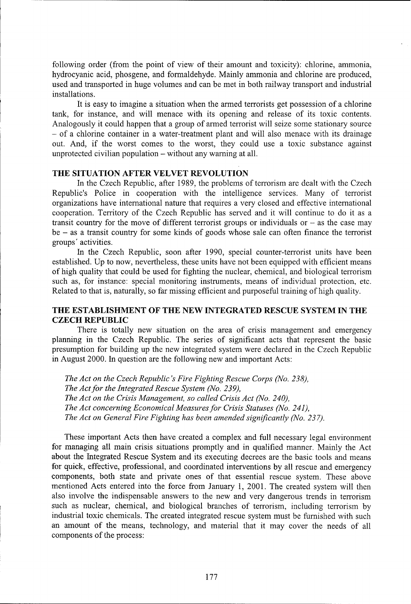following order (from the point of view of their amount and toxicity): chlorine, ammonia, hydrocyanic acid, phosgene, and formaldehyde. Mainly ammonia and chlorine are produced, used and transported in huge volumes and can be met in both railway transport and industrial installations.

It is easy to imagine a situation when the armed terrorists get possession of a chlorine tank, for instance, and will menace with its opening and release of its toxic contents. Analogously it could happen that a group of armed terrorist will seize some stationary source - of a chlorine container in a water-treatment plant and will also menace with its drainage out. And, if the worst comes to the worst, they could use a toxic substance against unprotected civilian population  $-$  without any warning at all.

### THE **SITUATION** AFTER VELVET **REVOLUTION**

In the Czech Republic, after 1989, the problems of terrorism are dealt with the Czech Republic's Police in cooperation with the intelligence services. Many of terrorist organizations have international nature that requires a very closed and effective international cooperation. Territory of the Czech Republic has served and it will continue to do it as a transit country for the move of different terrorist groups or individuals or  $-$  as the case may be - as a transit country for some kinds of goods whose sale can often finance the terrorist groups' activities.

In the Czech Republic, soon after 1990, special counter-terrorist units have been established. Up to now, nevertheless, these units have not been equipped with efficient means of high quality that could be used for fighting the nuclear, chemical, and biological terrorism such as, for instance: special monitoring instruments, means of individual protection, etc. Related to that is, naturally, so far missing efficient and purposeful training of high quality.

## THE **ESTABLISHMENT** OF THE **NEW INTEGRATED RESCUE** SYSTEM **IN** THE **CZECH** REPUBLIC

There is totally new situation on the area of crisis management and emergency planning in the Czech Republic. The series of significant acts that represent the basic presumption for building up the new integrated system were declared in the Czech Republic in August 2000. In question are the following new and important Acts:

*The Act on the Czech Republic's Fire Fighting Rescue Corps (No. 238), The Act for the Integrated Rescue System (No. 239), The Act on the Crisis Management, so called Crisis Act (No. 240), The Act concerning Economical Measures for Crisis Statuses (No. 241), The Act on General Fire Fighting has been amended significantly (No. 237).*

These important Acts then have created a complex and full necessary legal environment for managing all main crisis situations promptly and in qualified manner. Mainly the Act about the Integrated Rescue System and its executing decrees are the basic tools and means for quick, effective, professional, and coordinated interventions by all rescue and emergency components, both state and private ones of that essential rescue system. These above mentioned Acts entered into the force from January **1,** 2001. The created system will then also involve the indispensable answers to the new and very dangerous trends in terrorism such as nuclear, chemical, and biological branches of terrorism, including terrorism by industrial toxic chemicals. The created integrated rescue system must be furnished with such an amount of the means, technology, and material that it may cover the needs of all components of the process: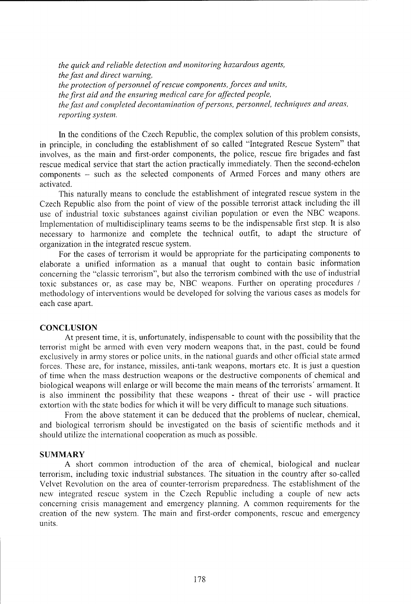*the quick and reliable detection and monitoring hazardous agents, the fast and direct warning, the protection of personnel of rescue components, forces and units, the first aid and the ensuring medical care for affected people, the fast and completed decontamination of persons, personnel, techniques and areas, reporting system.*

In the conditions of the Czech Republic, the complex solution of this problem consists, in principle, in concluding the establishment of so called "Integrated Rescue System" that involves, as the main and first-order components, the police, rescue fire brigades and fast rescue medical service that start the action practically immediately. Then the second-echelon components - such as the selected components of Armed Forces and many others are activated.

This naturally means to conclude the establishment of integrated rescue system in the Czech Republic also from the point of view of the possible terrorist attack including the ill use of industrial toxic substances against civilian population or even the NBC weapons. Implementation of multidisciplinary teams seems to be the indispensable first step. It is also necessary to harmonize and complete the technical outfit, to adapt the structure of organization in the integrated rescue system.

For the cases of terrorism it would be appropriate for the participating components to elaborate a unified information as a manual that ought to contain basic information concerning the "classic terrorism", but also the terrorism combined with the use of industrial toxic substances or, as case may be, NBC weapons. Further on operating procedures / methodology of interventions would be developed for solving the various cases as models for each case apart.

#### **CONCLUSION**

At present time, it is, unfortunately, indispensable to count with the possibility that the terrorist might be armed with even very modern weapons that, in the past, could be found exclusively in army stores or police units, in the national guards and other official state armed forces. These are, for instance, missiles, anti-tank weapons, mortars etc. It is just a question of time when the mass destruction weapons or the destructive components of chemical and biological weapons will enlarge or will become the main means of the terrorists' armament. It is also imminent the possibility that these weapons - threat of their use - will practice extortion with the state bodies for which it will be very difficult to manage such situations.

From the above statement it can be deduced that the problems of nuclear, chemical, and biological terrorism should be investigated on the basis of scientific methods and it should utilize the international cooperation as much as possible.

#### SUMMARY

A short common introduction of the area of chemical, biological and nuclear terrorism, including toxic industrial substances. The situation in the country after so-called Velvet Revolution on the area of counter-terrorism preparedness. The establishment of the new integrated rescue system in the Czech Republic including a couple of new acts concerning crisis management and emergency planning. A common requirements for the creation of the new system. The main and first-order components, rescue and emergency units.